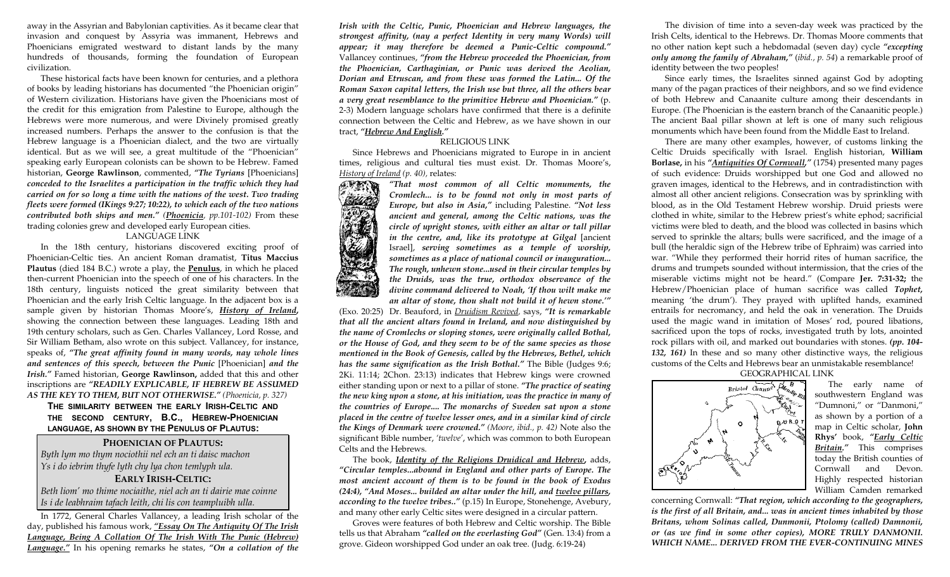away in the Assyrian and Babylonian captivities. As it became clear that invasion and conquest by Assyria was immanent, Hebrews and Phoenicians emigrated westward to distant lands by the many hundreds of thousands, forming the foundation of European civilization.

 These historical facts have been known for centuries, and a plethora of books by leading historians has documented "the Phoenician origin" of Western civilization. Historians have given the Phoenicians most of the credit for this emigration from Palestine to Europe, although the Hebrews were more numerous, and were Divinely promised greatly increased numbers. Perhaps the answer to the confusion is that the Hebrew language is a Phoenician dialect, and the two are virtually identical. But as we will see, a great multitude of the "Phoenician" speaking early European colonists can be shown to be Hebrew. Famed historian, **George Rawlinson**, commented, *"The Tyrians* [Phoenicians] *conceded to the Israelites a participation in the traffic which they had carried on for so long a time with the nations of the west. Two trading fleets were formed (IKings 9:27; 10:22), to which each of the two nations contributed both ships and men." (Phoenicia, pp.101-102)* From these trading colonies grew and developed early European cities.

#### LANGUAGE LINK

 In the 18th century, historians discovered exciting proof of Phoenician-Celtic ties. An ancient Roman dramatist, **Titus Maccius Plautus** (died 184 B.C.) wrote a play, the **Penulus**, in which he placed then-current Phoenician into the speech of one of his characters. In the 18th century, linguists noticed the great similarity between that Phoenician and the early Irish Celtic language. In the adjacent box is a sample given by historian Thomas Moore's, *History of Ireland***,** showing the connection between these languages. Leading 18th and 19th century scholars, such as Gen. Charles Vallancey, Lord Rosse, and Sir William Betham, also wrote on this subject. Vallancey, for instance, speaks of, *"The great affinity found in many words, nay whole lines and sentences of this speech, between the Punic* [Phoenician] *and the Irish."* Famed historian, **George Rawlinson,** added that this and other inscriptions are *"READILY EXPLICABLE, IF HEBREW BE ASSUMED AS THE KEY TO THEM, BUT NOT OTHERWISE." (Phoenicia, p. 327)* 

**THE SIMILARITY BETWEEN THE EARLY IRISH-CELTIC AND THE SECOND CENTURY, B.C., HEBREW-PHOENICIAN LANGUAGE, AS SHOWN BY THE PENULUS OF PLAUTUS:** 

#### **PHOENICIAN OF PLAUTUS:**

*Byth lym mo thym nociothii nel ech an ti daisc machon Ys i do iebrim thyfe lyth chy lya chon temlyph ula.* 

#### **EARLY IRISH-CELTIC:**

*Beth liom' mo thime nociaithe, niel ach an ti dairie mae coinne Is i de leabhraim tafach leith, chi lis con teampluibh ulla.* 

 In 1772, General Charles Vallancey, a leading Irish scholar of the day, published his famous work, *"Essay On The Antiquity Of The Irish Language, Being A Collation Of The Irish With The Punic (Hebrew) Language."* In his opening remarks he states, *"On a collation of the*  *Irish with the Celtic, Punic, Phoenician and Hebrew languages, the strongest affinity, (nay a perfect Identity in very many Words) will appear; it may therefore be deemed a Punic-Celtic compound."* Vallancey continues, *"from the Hebrew proceeded the Phoenician, from the Phoenician, Carthaginian, or Punic was derived the Aeolian, Dorian and Etruscan, and from these was formed the Latin... Of the Roman Saxon capital letters, the Irish use but three, all the others bear a very great resemblance to the primitive Hebrew and Phoenician."* (p. 2-3) Modern language scholars have confirmed that there is a definite connection between the Celtic and Hebrew, as we have shown in our tract, *"Hebrew And English."*

#### RELIGIOUS LINK

 Since Hebrews and Phoenicians migrated to Europe in in ancient times, religious and cultural ties must exist. Dr. Thomas Moore's, *History of Ireland (p. 40),* relates:

> *"That most common of all Celtic monuments, the Cromlech... is to be found not only in most parts of Europe, but also in Asia,"* including Palestine. *"Not less ancient and general, among the Celtic nations, was the circle of upright stones, with either an altar or tall pillar in the centre, and, like its prototype at Gilgal* [ancient Israel], *serving sometimes as a temple of worship, sometimes as a place of national council or inauguration... The rough, unhewn stone...used in their circular temples by the Druids, was the true, orthodox observance of the divine command delivered to Noah, 'If thou wilt make me an altar of stone, thou shalt not build it of hewn stone.'"*

(Exo. 20:25) Dr. Beauford, in *Druidism Revived,* says, *"It is remarkable that all the ancient altars found in Ireland, and now distinguished by the name of Cromlechs or sloping stones, were originally called Bothal, or the House of God, and they seem to be of the same species as those mentioned in the Book of Genesis, called by the Hebrews, Bethel, which has the same signification as the Irish Bothal."* The Bible (Judges 9:6; 2Ki. 11:14; 2Chon. 23:13) indicates that Hebrew kings were crowned either standing upon or next to a pillar of stone. *"The practice of seating the new king upon a stone, at his initiation, was the practice in many of the countries of Europe.... The monarchs of Sweden sat upon a stone placed in the centre of twelve lesser ones, and in a similar kind of circle the Kings of Denmark were crowned." (Moore, ibid., p. 42)* Note also the significant Bible number, *'twelve'*, which was common to both European Celts and the Hebrews.

 The book, *Identity of the Religions Druidical and Hebrew***,** adds, *"Circular temples...abound in England and other parts of Europe. The most ancient account of them is to be found in the book of Exodus (24:4), "And Moses... builded an altar under the hill, and twelve pillars, according to the twelve tribes.."* (p.15) In Europe, Stonehenge, Avebury, and many other early Celtic sites were designed in a circular pattern.

 Groves were features of both Hebrew and Celtic worship. The Bible tells us that Abraham *"called on the everlasting God"* (Gen. 13:4) from a grove. Gideon worshipped God under an oak tree. (Judg. 6:19-24)

 The division of time into a seven-day week was practiced by the Irish Celts, identical to the Hebrews. Dr. Thomas Moore comments that no other nation kept such a hebdomadal (seven day) cycle *"excepting only among the family of Abraham,"* (*ibid., p. 54*) a remarkable proof of identity between the two peoples!

 Since early times, the Israelites sinned against God by adopting many of the pagan practices of their neighbors, and so we find evidence of both Hebrew and Canaanite culture among their descendants in Europe. (The Phoenician is the eastern branch of the Canaanitic people.) The ancient Baal pillar shown at left is one of many such religious monuments which have been found from the Middle East to Ireland.

 There are many other examples, however, of customs linking the Celtic Druids specifically with Israel. English historian, **William Borlase,** in his *"Antiquities Of Cornwall,"* (1754) presented many pages of such evidence: Druids worshipped but one God and allowed no graven images, identical to the Hebrews, and in contradistinction with almost all other ancient religions. Consecration was by sprinkling with blood, as in the Old Testament Hebrew worship. Druid priests were clothed in white, similar to the Hebrew priest's white ephod; sacrificial victims were bled to death, and the blood was collected in basins which served to sprinkle the altars; bulls were sacrificed, and the image of a bull (the heraldic sign of the Hebrew tribe of Ephraim) was carried into war. "While they performed their horrid rites of human sacrifice, the drums and trumpets sounded without intermission, that the cries of the miserable victims might not be heard." (Compare **Jer. 7:31-32;** the Hebrew/Phoenician place of human sacrifice was called *Tophet,* meaning 'the drum'). They prayed with uplifted hands, examined entrails for necromancy, and held the oak in veneration. The Druids used the magic wand in imitation of Moses' rod, poured libations, sacrificed upon the tops of rocks, investigated truth by lots, anointed rock pillars with oil, and marked out boundaries with stones. *(pp. 104- 132, 161)* In these and so many other distinctive ways, the religious customs of the Celts and Hebrews bear an unmistakable resemblance!

GEOGRAPHICAL LINK



 The early name of southwestern England was "Dumnoni," or "Danmoni," as shown by a portion of a map in Celtic scholar, **John Rhys'** book, *"Early Celtic Britain."* This comprises today the British counties of Cornwall and Devon. Highly respected historian William Camden remarked

concerning Cornwall: *"That region, which according to the geographers, is the first of all Britain, and... was in ancient times inhabited by those Britans, whom Solinas called, Dunmonii, Ptolomy (called) Damnonii, or (as we find in some other copies), MORE TRULY DANMONII. WHICH NAME... DERIVED FROM THE EVER-CONTINUING MINES*